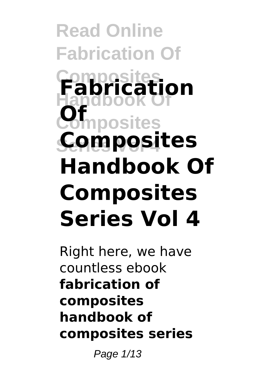### **Read Online Fabrication Of Composites Fabrication Handbook Of Composites Series Vol 4 Composites Of Handbook Of Composites Series Vol 4**

Right here, we have countless ebook **fabrication of composites handbook of composites series**

Page 1/13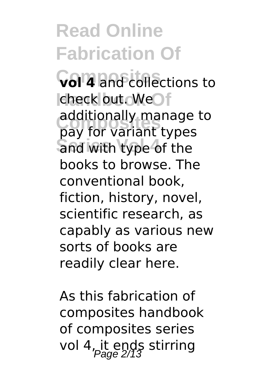**Read Online Fabrication Of Vol<sup>4</sup>** and collections to check out. WeOf additionally manage<br>pay for variant types and with type of the additionally manage to books to browse. The conventional book, fiction, history, novel, scientific research, as capably as various new sorts of books are readily clear here.

As this fabrication of composites handbook of composites series vol 4, it ends stirring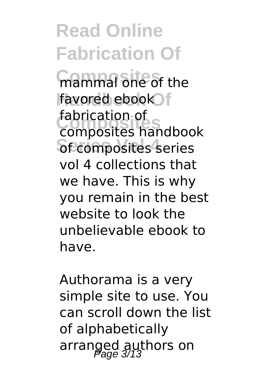**Read Online Fabrication Of mammal one of the** favored ebook f **Composites** composites handbook **Secomposites** series fabrication of vol 4 collections that we have. This is why you remain in the best website to look the unbelievable ebook to have.

Authorama is a very simple site to use. You can scroll down the list of alphabetically arranged authors on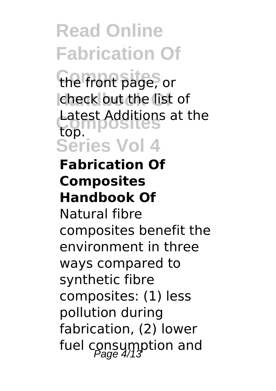the front page, or check out the list of **Composites** Latest Additions at the **Series Vol 4** top.

#### **Fabrication Of Composites Handbook Of**

Natural fibre composites benefit the environment in three ways compared to synthetic fibre composites: (1) less pollution during fabrication, (2) lower fuel consumption and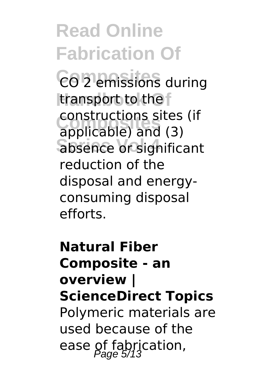**Read Online Fabrication Of**  $CO$ <sup>D</sup> emissions during transport to the **Composites** applicable) and (3) **Series Vol 4** absence or significant constructions sites (if reduction of the disposal and energyconsuming disposal efforts.

**Natural Fiber Composite - an overview | ScienceDirect Topics** Polymeric materials are used because of the ease of fabrication,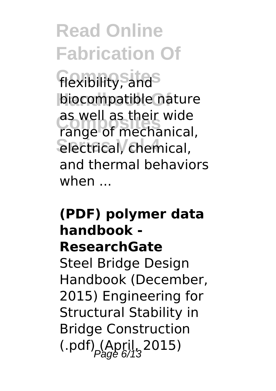flexibility, and biocompatible nature **Composites** range of mechanical, **Series Vol 4** electrical, chemical, as well as their wide and thermal behaviors when ...

### **(PDF) polymer data handbook - ResearchGate**

Steel Bridge Design Handbook (December, 2015) Engineering for Structural Stability in Bridge Construction  $(April, 2015)$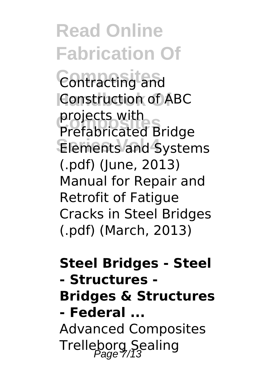**Read Online Fabrication Of Composites** Contracting and **Construction of ABC Composites** Prefabricated Bridge Elements and Systems projects with (.pdf) (June, 2013) Manual for Repair and Retrofit of Fatigue Cracks in Steel Bridges (.pdf) (March, 2013)

**Steel Bridges - Steel - Structures - Bridges & Structures - Federal ...** Advanced Composites Trelleborg Sealing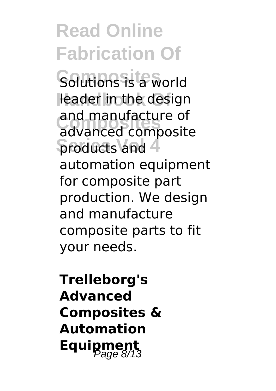Solutions is a world leader in the design and manufacture of<br>advanced composite **Sproducts and 4** and manufacture of automation equipment for composite part production. We design and manufacture composite parts to fit your needs.

**Trelleborg's Advanced Composites & Automation Equipment**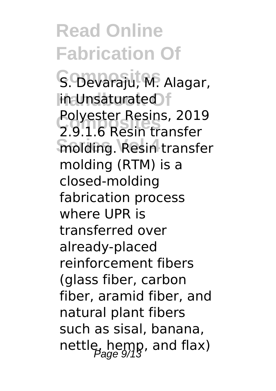**Read Online Fabrication Of** S. Devaraju, M. Alagar,  $H$ in Unsaturated **Composites** 2.9.1.6 Resin transfer **molding. Resin transfer** Polyester Resins, 2019 molding (RTM) is a closed-molding fabrication process where UPR is transferred over already-placed reinforcement fibers (glass fiber, carbon fiber, aramid fiber, and natural plant fibers such as sisal, banana, nettle, hemp, and flax)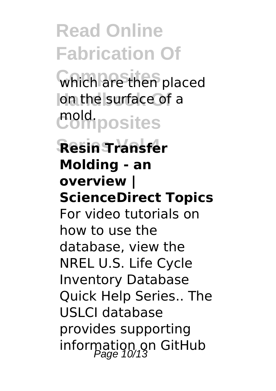**Composites** which are then placed on the surface of a **Composites** mold.

#### **Series Vol 4 Resin Transfer Molding - an overview | ScienceDirect Topics** For video tutorials on how to use the database, view the NREL U.S. Life Cycle Inventory Database Quick Help Series.. The USLCI database provides supporting

information on GitHub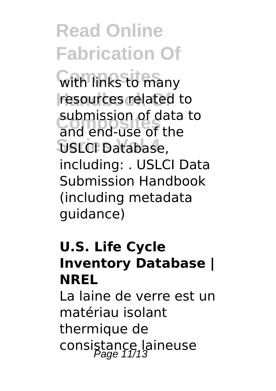**With links to many** resources related to **Composites** and end-use of the **Series Vol 4** USLCI Database, submission of data to including: . USLCI Data Submission Handbook (including metadata guidance)

### **U.S. Life Cycle Inventory Database | NREL**

La laine de verre est un matériau isolant thermique de consistance laineuse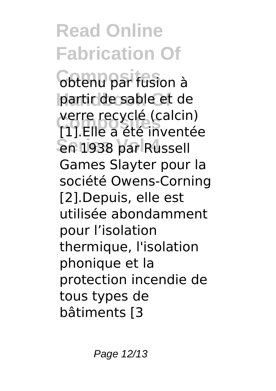**Composites** obtenu par fusion à partir de sable et de **Composites** [1].Elle a été inventée **Series Vol 4** en 1938 par Russell verre recyclé (calcin) Games Slayter pour la société Owens-Corning [2].Depuis, elle est utilisée abondamment pour l'isolation thermique, l'isolation phonique et la protection incendie de tous types de bâtiments [3